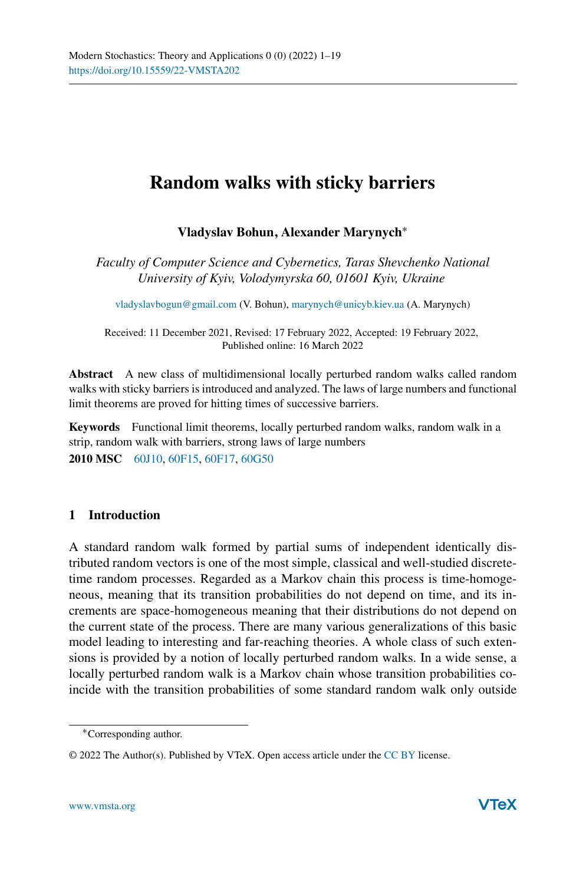# **Random walks with sticky barriers**

# **Vladyslav Bohun, Alexander Marynych**<sup>∗</sup>

*Faculty of Computer Science and Cybernetics, Taras Shevchenko National University of Kyiv, Volodymyrska 60, 01601 Kyiv, Ukraine*

[vladyslavbogun@gmail.com](mailto:vladyslavbogun@gmail.com) (V. Bohun), [marynych@unicyb.kiev.ua](mailto:marynych@unicyb.kiev.ua) (A. Marynych)

Received: 11 December 2021, Revised: 17 February 2022, Accepted: 19 February 2022, Published online: 16 March 2022

**Abstract** A new class of multidimensional locally perturbed random walks called random walks with sticky barriers is introduced and analyzed. The laws of large numbers and functional limit theorems are proved for hitting times of successive barriers.

**Keywords** Functional limit theorems, locally perturbed random walks, random walk in a strip, random walk with barriers, strong laws of large numbers **2010 MSC** [60J10,](http://www.ams.org/msc/msc2010.html?s=60J10) [60F15,](http://www.ams.org/msc/msc2010.html?s=60F15) [60F17,](http://www.ams.org/msc/msc2010.html?s=60F17) [60G50](http://www.ams.org/msc/msc2010.html?s=60G50)

## **1 Introduction**

A standard random walk formed by partial sums of independent identically distributed random vectors is one of the most simple, classical and well-studied discretetime random processes. Regarded as a Markov chain this process is time-homogeneous, meaning that its transition probabilities do not depend on time, and its increments are space-homogeneous meaning that their distributions do not depend on the current state of the process. There are many various generalizations of this basic model leading to interesting and far-reaching theories. A whole class of such extensions is provided by a notion of locally perturbed random walks. In a wide sense, a locally perturbed random walk is a Markov chain whose transition probabilities coincide with the transition probabilities of some standard random walk only outside

<sup>∗</sup>Corresponding author.

<sup>© 2022</sup> The Author(s). Published by VTeX. Open access article under the [CC BY](http://creativecommons.org/licenses/by/4.0/) license.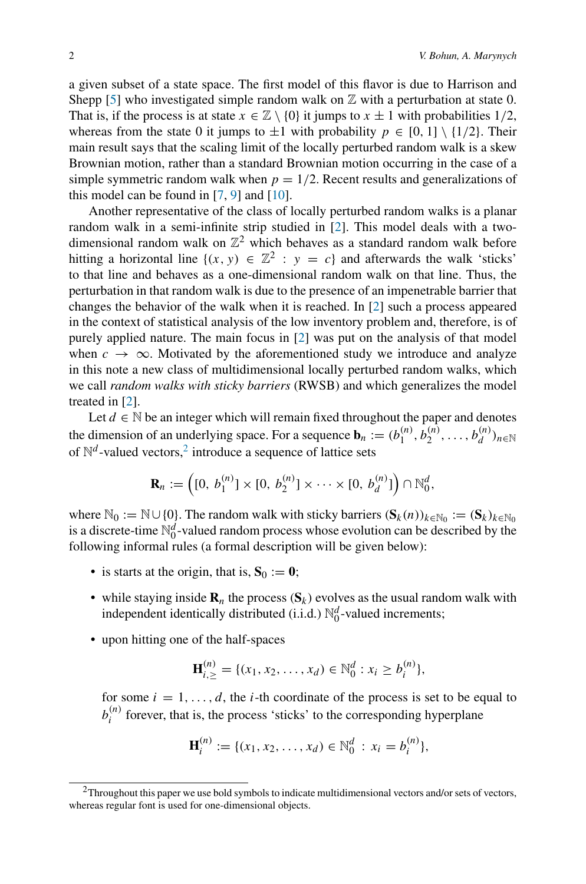a given subset of a state space. The first model of this flavor is due to Harrison and Shepp [\[5\]](#page-18-0) who investigated simple random walk on  $\mathbb Z$  with a perturbation at state 0. That is, if the process is at state  $x \in \mathbb{Z} \setminus \{0\}$  it jumps to  $x \pm 1$  with probabilities 1/2, whereas from the state 0 it jumps to  $\pm 1$  with probability  $p \in [0, 1] \setminus \{1/2\}$ . Their main result says that the scaling limit of the locally perturbed random walk is a skew Brownian motion, rather than a standard Brownian motion occurring in the case of a simple symmetric random walk when  $p = 1/2$ . Recent results and generalizations of this model can be found in  $[7, 9]$  $[7, 9]$  $[7, 9]$  and  $[10]$ .

Another representative of the class of locally perturbed random walks is a planar random walk in a semi-infinite strip studied in [\[2](#page-18-4)]. This model deals with a twodimensional random walk on  $\mathbb{Z}^2$  which behaves as a standard random walk before hitting a horizontal line  $\{(x, y) \in \mathbb{Z}^2 : y = c\}$  and afterwards the walk 'sticks' to that line and behaves as a one-dimensional random walk on that line. Thus, the perturbation in that random walk is due to the presence of an impenetrable barrier that changes the behavior of the walk when it is reached. In [\[2\]](#page-18-4) such a process appeared in the context of statistical analysis of the low inventory problem and, therefore, is of purely applied nature. The main focus in [\[2\]](#page-18-4) was put on the analysis of that model when  $c \rightarrow \infty$ . Motivated by the aforementioned study we introduce and analyze in this note a new class of multidimensional locally perturbed random walks, which we call *random walks with sticky barriers* (RWSB) and which generalizes the model treated in [\[2\]](#page-18-4).

Let  $d \in \mathbb{N}$  be an integer which will remain fixed throughout the paper and denotes the dimension of an underlying space. For a sequence  $\mathbf{b}_n := (b_1^{(n)}, b_2^{(n)}, \dots, b_d^{(n)})_{n \in \mathbb{N}}$ of  $\mathbb{N}^d$ -valued vectors,<sup>2</sup> introduce a sequence of lattice sets

$$
\mathbf{R}_n := \left( [0, b_1^{(n)}] \times [0, b_2^{(n)}] \times \cdots \times [0, b_d^{(n)}] \right) \cap \mathbb{N}_0^d,
$$

where  $\mathbb{N}_0 := \mathbb{N} \cup \{0\}$ . The random walk with sticky barriers  $(\mathbf{S}_k(n))_{k \in \mathbb{N}_0} := (\mathbf{S}_k)_{k \in \mathbb{N}_0}$ is a discrete-time  $\mathbb{N}_0^d$ -valued random process whose evolution can be described by the following informal rules (a formal description will be given below):

- is starts at the origin, that is,  $S_0 := 0$ ;
- while staying inside  $\mathbf{R}_n$  the process  $(\mathbf{S}_k)$  evolves as the usual random walk with independent identically distributed (i.i.d.)  $\mathbb{N}_0^d$ -valued increments;
- upon hitting one of the half-spaces

$$
\mathbf{H}_{i,\geq}^{(n)} = \{ (x_1, x_2, \dots, x_d) \in \mathbb{N}_0^d : x_i \geq b_i^{(n)} \},
$$

for some  $i = 1, \ldots, d$ , the *i*-th coordinate of the process is set to be equal to  $b_i^{(n)}$  forever, that is, the process 'sticks' to the corresponding hyperplane

$$
\mathbf{H}_i^{(n)} := \{ (x_1, x_2, \dots, x_d) \in \mathbb{N}_0^d : x_i = b_i^{(n)} \},
$$

<span id="page-1-0"></span><sup>2</sup>Throughout this paper we use bold symbols to indicate multidimensional vectors and/or sets of vectors, whereas regular font is used for one-dimensional objects.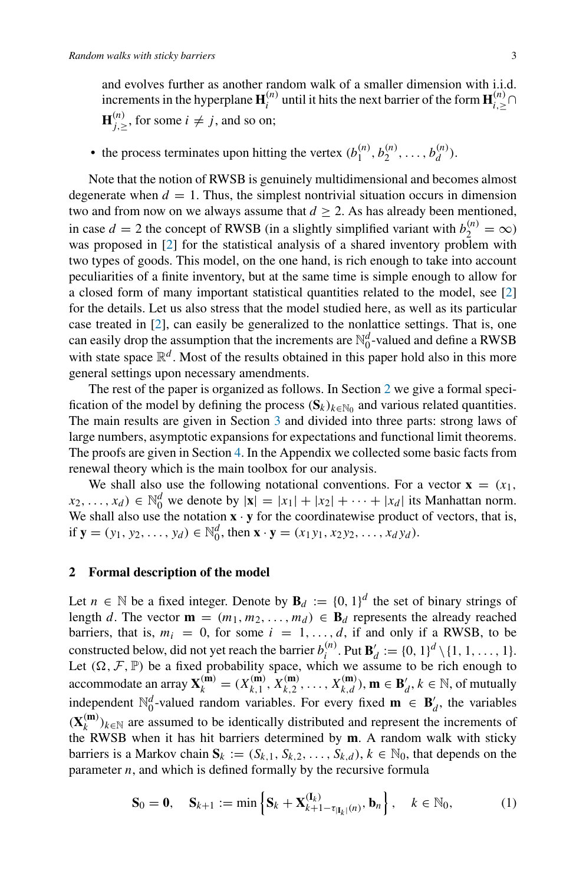and evolves further as another random walk of a smaller dimension with i.i.d. increments in the hyperplane  $\mathbf{H}^{(n)}_i$  until it hits the next barrier of the form  $\mathbf{H}^{(n)}_{i, \geq} \cap$  $\mathbf{H}_{j,\geq}^{(n)}$ , for some  $i \neq j$ , and so on;

• the process terminates upon hitting the vertex  $(b_1^{(n)}, b_2^{(n)}, \ldots, b_d^{(n)})$ .

Note that the notion of RWSB is genuinely multidimensional and becomes almost degenerate when  $d = 1$ . Thus, the simplest nontrivial situation occurs in dimension two and from now on we always assume that  $d \geq 2$ . As has already been mentioned, in case  $d = 2$  the concept of RWSB (in a slightly simplified variant with  $b_2^{(n)} = \infty$ ) was proposed in [\[2](#page-18-4)] for the statistical analysis of a shared inventory problem with two types of goods. This model, on the one hand, is rich enough to take into account peculiarities of a finite inventory, but at the same time is simple enough to allow for a closed form of many important statistical quantities related to the model, see [\[2\]](#page-18-4) for the details. Let us also stress that the model studied here, as well as its particular case treated in [\[2\]](#page-18-4), can easily be generalized to the nonlattice settings. That is, one can easily drop the assumption that the increments are  $\mathbb{N}_0^d$ -valued and define a RWSB with state space  $\mathbb{R}^d$ . Most of the results obtained in this paper hold also in this more general settings upon necessary amendments.

The rest of the paper is organized as follows. In Section [2](#page-2-0) we give a formal specification of the model by defining the process  $(S_k)_{k \in \mathbb{N}_0}$  and various related quantities. The main results are given in Section [3](#page-4-0) and divided into three parts: strong laws of large numbers, asymptotic expansions for expectations and functional limit theorems. The proofs are given in Section [4.](#page-7-0) In the Appendix we collected some basic facts from renewal theory which is the main toolbox for our analysis.

We shall also use the following notational conventions. For a vector  $\mathbf{x} = (x_1, x_2, \dots, x_n)$  $f(x_2, \ldots, x_d) \in \mathbb{N}_0^d$  we denote by  $|\mathbf{x}| = |x_1| + |x_2| + \cdots + |x_d|$  its Manhattan norm. We shall also use the notation  $\mathbf{x} \cdot \mathbf{y}$  for the coordinatewise product of vectors, that is, if  $\mathbf{y} = (y_1, y_2, \dots, y_d) \in \mathbb{N}_0^d$ , then  $\mathbf{x} \cdot \mathbf{y} = (x_1y_1, x_2y_2, \dots, x_dy_d)$ .

## <span id="page-2-0"></span>**2 Formal description of the model**

Let *n* ∈ N be a fixed integer. Denote by  $\mathbf{B}_d := \{0, 1\}^d$  the set of binary strings of length *d*. The vector  $\mathbf{m} = (m_1, m_2, \dots, m_d) \in \mathbf{B}_d$  represents the already reached barriers, that is,  $m_i = 0$ , for some  $i = 1, \ldots, d$ , if and only if a RWSB, to be constructed below, did not yet reach the barrier  $b_i^{(n)}$ . Put  $\mathbf{B}'_d := \{0, 1\}^d \setminus \{1, 1, ..., 1\}$ . Let  $(\Omega, \mathcal{F}, \mathbb{P})$  be a fixed probability space, which we assume to be rich enough to accommodate an array  $\mathbf{X}_k^{(\mathbf{m})} = (X_{k,1}^{(\mathbf{m})}, X_{k,2}^{(\mathbf{m})}, \dots, X_{k,d}^{(\mathbf{m})}), \mathbf{m} \in \mathbf{B}'_d, k \in \mathbb{N}$ , of mutually independent  $\mathbb{N}_0^d$ -valued random variables. For every fixed **m**  $\in$  **B**<sup>'</sup><sub>d</sub>, the variables  $(X_k^{(m)})_{k \in \mathbb{N}}$  are assumed to be identically distributed and represent the increments of the RWSB when it has hit barriers determined by **m**. A random walk with sticky barriers is a Markov chain  $S_k := (S_{k,1}, S_{k,2}, \ldots, S_{k,d})$ ,  $k \in \mathbb{N}_0$ , that depends on the parameter *n*, and which is defined formally by the recursive formula

<span id="page-2-1"></span>
$$
\mathbf{S}_0 = \mathbf{0}, \quad \mathbf{S}_{k+1} := \min\left\{ \mathbf{S}_k + \mathbf{X}_{k+1-\tau_{|\mathbf{I}_k|}(n)}^{(\mathbf{I}_k)}, \mathbf{b}_n \right\}, \quad k \in \mathbb{N}_0,
$$
 (1)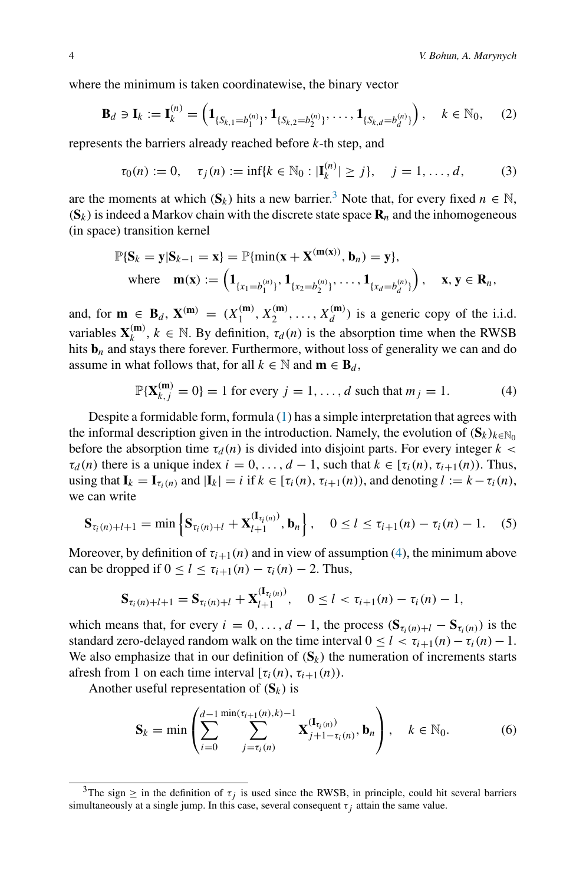where the minimum is taken coordinatewise, the binary vector

$$
\mathbf{B}_d \ni \mathbf{I}_k := \mathbf{I}_k^{(n)} = \left( \mathbf{1}_{\{S_{k,1} = b_1^{(n)}\}}, \mathbf{1}_{\{S_{k,2} = b_2^{(n)}\}}, \dots, \mathbf{1}_{\{S_{k,d} = b_d^{(n)}\}} \right), \quad k \in \mathbb{N}_0, \quad (2)
$$

represents the barriers already reached before *k*-th step, and

<span id="page-3-3"></span>
$$
\tau_0(n) := 0, \quad \tau_j(n) := \inf\{k \in \mathbb{N}_0 : |\mathbf{I}_k^{(n)}| \ge j\}, \quad j = 1, \dots, d,
$$
 (3)

are the moments at which  $(\mathbf{S}_k)$  hits a new barrier.<sup>3</sup> Note that, for every fixed  $n \in \mathbb{N}$ ,  $({\bf S}_k)$  is indeed a Markov chain with the discrete state space  ${\bf R}_n$  and the inhomogeneous (in space) transition kernel

$$
\mathbb{P}\{S_k = y | S_{k-1} = x\} = \mathbb{P}\{\min(x + X^{(m(x))}, b_n) = y\},\
$$
  
where  $\mathbf{m}(x) := \left(\mathbf{1}_{\{x_1 = b_1^{(n)}\}}, \mathbf{1}_{\{x_2 = b_2^{(n)}\}}, \dots, \mathbf{1}_{\{x_d = b_d^{(n)}\}}\right), \quad x, y \in \mathbf{R}_n,$ 

and, for  $\mathbf{m} \in \mathbf{B}_d$ ,  $\mathbf{X}^{(\mathbf{m})} = (X_1^{(\mathbf{m})}, X_2^{(\mathbf{m})}, \dots, X_d^{(\mathbf{m})})$  is a generic copy of the i.i.d. variables  $\mathbf{X}_k^{(m)}$ ,  $k \in \mathbb{N}$ . By definition,  $\tau_d(n)$  is the absorption time when the RWSB hits  **and stays there forever. Furthermore, without loss of generality we can and do** assume in what follows that, for all  $k \in \mathbb{N}$  and  $\mathbf{m} \in \mathbf{B}_d$ ,

<span id="page-3-1"></span>
$$
\mathbb{P}\{\mathbf{X}_{k,j}^{(\mathbf{m})}=0\}=1 \text{ for every } j=1,\ldots,d \text{ such that } m_j=1. \tag{4}
$$

Despite a formidable form, formula [\(1\)](#page-2-1) has a simple interpretation that agrees with the informal description given in the introduction. Namely, the evolution of  $(S_k)_{k \in \mathbb{N}_0}$ before the absorption time  $\tau_d(n)$  is divided into disjoint parts. For every integer  $k <$  $\tau_d(n)$  there is a unique index  $i = 0, \ldots, d - 1$ , such that  $k \in [\tau_i(n), \tau_{i+1}(n))$ . Thus, using that  $\mathbf{I}_k = \mathbf{I}_{\tau_i(n)}$  and  $|\mathbf{I}_k| = i$  if  $k \in [\tau_i(n), \tau_{i+1}(n))$ , and denoting  $l := k - \tau_i(n)$ , we can write

$$
\mathbf{S}_{\tau_i(n)+l+1} = \min \left\{ \mathbf{S}_{\tau_i(n)+l} + \mathbf{X}_{l+1}^{(\mathbf{I}_{\tau_i(n)})}, \mathbf{b}_n \right\}, \quad 0 \le l \le \tau_{i+1}(n) - \tau_i(n) - 1. \tag{5}
$$

Moreover, by definition of  $\tau_{i+1}(n)$  and in view of assumption [\(4\)](#page-3-1), the minimum above can be dropped if  $0 \le l \le \tau_{i+1}(n) - \tau_i(n) - 2$ . Thus,

$$
\mathbf{S}_{\tau_i(n)+l+1} = \mathbf{S}_{\tau_i(n)+l} + \mathbf{X}_{l+1}^{(\mathbf{I}_{\tau_i(n)})}, \quad 0 \leq l < \tau_{i+1}(n) - \tau_i(n) - 1,
$$

which means that, for every  $i = 0, \ldots, d - 1$ , the process  $(\mathbf{S}_{\tau_i(n)+l} - \mathbf{S}_{\tau_i(n)})$  is the standard zero-delayed random walk on the time interval  $0 \le l < \tau_{i+1}(n) - \tau_i(n) - 1$ . We also emphasize that in our definition of  $(S_k)$  the numeration of increments starts afresh from 1 on each time interval  $[\tau_i(n), \tau_{i+1}(n)]$ .

Another useful representation of  $(S_k)$  is

<span id="page-3-2"></span>
$$
\mathbf{S}_{k} = \min \left( \sum_{i=0}^{d-1} \sum_{j=\tau_{i}(n)}^{\min(\tau_{i+1}(n),k)-1} \mathbf{X}_{j+1-\tau_{i}(n)}^{(\mathbf{I}_{\tau_{i}(n)})}, \mathbf{b}_{n} \right), \quad k \in \mathbb{N}_{0}.
$$
 (6)

<span id="page-3-0"></span><sup>&</sup>lt;sup>3</sup>The sign  $\geq$  in the definition of  $\tau_j$  is used since the RWSB, in principle, could hit several barriers simultaneously at a single jump. In this case, several consequent  $\tau_i$  attain the same value.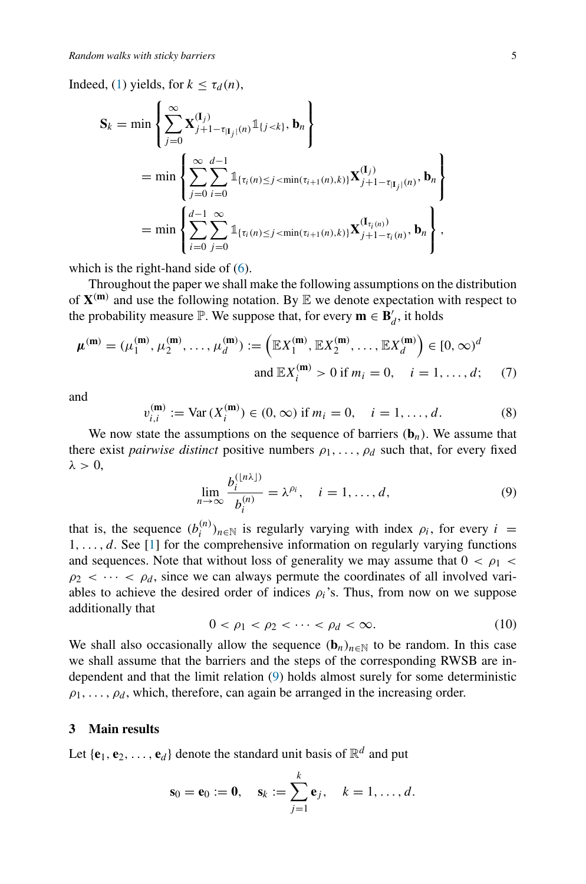Indeed, [\(1\)](#page-2-1) yields, for  $k \leq \tau_d(n)$ ,

$$
\mathbf{S}_{k} = \min \left\{ \sum_{j=0}^{\infty} \mathbf{X}_{j+1-\tau_{|\mathbf{I}_{j}|}(n)}^{\mathbf{I}_{j}} \mathbb{1}_{\{j < k\}}, \mathbf{b}_{n} \right\}
$$
\n
$$
= \min \left\{ \sum_{j=0}^{\infty} \sum_{i=0}^{d-1} \mathbb{1}_{\{\tau_{i}(n) \leq j < \min(\tau_{i+1}(n), k)\}} \mathbf{X}_{j+1-\tau_{|\mathbf{I}_{j}|}(n)}^{\mathbf{I}_{j}}, \mathbf{b}_{n} \right\}
$$
\n
$$
= \min \left\{ \sum_{i=0}^{d-1} \sum_{j=0}^{\infty} \mathbb{1}_{\{\tau_{i}(n) \leq j < \min(\tau_{i+1}(n), k)\}} \mathbf{X}_{j+1-\tau_{i}(n)}^{\mathbf{I}_{\tau_{i}(n)}}, \mathbf{b}_{n} \right\},
$$

which is the right-hand side of  $(6)$ .

Throughout the paper we shall make the following assumptions on the distribution of  $X^{(m)}$  and use the following notation. By  $E$  we denote expectation with respect to the probability measure  $\mathbb{P}$ . We suppose that, for every  $\mathbf{m} \in \mathbf{B}'_d$ , it holds

$$
\mu^{(m)} = (\mu_1^{(m)}, \mu_2^{(m)}, \dots, \mu_d^{(m)}) := \left( \mathbb{E} X_1^{(m)}, \mathbb{E} X_2^{(m)}, \dots, \mathbb{E} X_d^{(m)} \right) \in [0, \infty)^d
$$
  
and  $\mathbb{E} X_i^{(m)} > 0$  if  $m_i = 0, \quad i = 1, \dots, d$ ; (7)

and

<span id="page-4-3"></span>
$$
v_{i,i}^{(m)} := \text{Var}\,(X_i^{(m)}) \in (0,\infty) \text{ if } m_i = 0, \quad i = 1,\dots,d. \tag{8}
$$

We now state the assumptions on the sequence of barriers  $(\mathbf{b}_n)$ . We assume that there exist *pairwise distinct* positive numbers  $\rho_1, \ldots, \rho_d$  such that, for every fixed *λ >* 0,

<span id="page-4-1"></span>
$$
\lim_{n \to \infty} \frac{b_i^{(\lfloor n\lambda \rfloor)}}{b_i^{(n)}} = \lambda^{\rho_i}, \quad i = 1, \dots, d,
$$
\n(9)

that is, the sequence  $(b_i^{(n)})_{n \in \mathbb{N}}$  is regularly varying with index  $\rho_i$ , for every  $i =$ 1*,...,d*. See [\[1](#page-18-5)] for the comprehensive information on regularly varying functions and sequences. Note that without loss of generality we may assume that  $0 < \rho_1 <$  $\rho_2$  <  $\cdots$  <  $\rho_d$ , since we can always permute the coordinates of all involved variables to achieve the desired order of indices  $\rho_i$ 's. Thus, from now on we suppose additionally that

<span id="page-4-2"></span>
$$
0 < \rho_1 < \rho_2 < \cdots < \rho_d < \infty. \tag{10}
$$

We shall also occasionally allow the sequence  $(b_n)_{n\in\mathbb{N}}$  to be random. In this case we shall assume that the barriers and the steps of the corresponding RWSB are independent and that the limit relation [\(9\)](#page-4-1) holds almost surely for some deterministic  $\rho_1, \ldots, \rho_d$ , which, therefore, can again be arranged in the increasing order.

#### <span id="page-4-0"></span>**3 Main results**

Let  ${\bf e}_1, {\bf e}_2, \ldots, {\bf e}_d$  denote the standard unit basis of  $\mathbb{R}^d$  and put

$$
\mathbf{s}_0 = \mathbf{e}_0 := \mathbf{0}, \quad \mathbf{s}_k := \sum_{j=1}^k \mathbf{e}_j, \quad k = 1, \ldots, d.
$$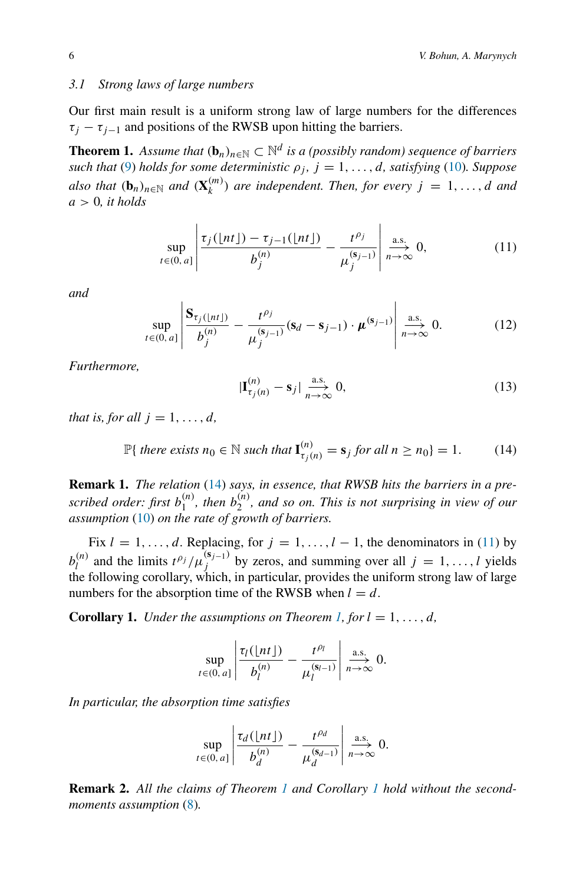## *3.1 Strong laws of large numbers*

Our first main result is a uniform strong law of large numbers for the differences  $\tau_i - \tau_{i-1}$  and positions of the RWSB upon hitting the barriers.

<span id="page-5-2"></span>**Theorem 1.** *Assume that*  $(\mathbf{b}_n)_{n \in \mathbb{N}} \subset \mathbb{N}^d$  *is a (possibly random) sequence of barriers such that* [\(9\)](#page-4-1) *holds for some deterministic*  $\rho_j$ ,  $j = 1, \ldots, d$ *, satisfying* [\(10\)](#page-4-2)*. Suppose also that*  $(\mathbf{b}_n)_{n \in \mathbb{N}}$  *and*  $(\mathbf{X}_k^{(m)})$  *are independent. Then, for every*  $j = 1, ..., d$  *and a >* 0*, it holds*

<span id="page-5-1"></span>
$$
\sup_{t\in(0,a]}\left|\frac{\tau_j(\lfloor nt\rfloor)-\tau_{j-1}(\lfloor nt\rfloor)}{b_j^{(n)}}-\frac{t^{\rho_j}}{\mu_j^{(s_{j-1})}}\right|\underset{n\to\infty}{\overset{\text{a.s.}}{n\to 0}}0,
$$
\n(11)

*and*

<span id="page-5-5"></span>
$$
\sup_{t \in (0, a]} \left| \frac{\mathbf{S}_{\tau_j(\lfloor nt \rfloor)}}{b_j^{(n)}} - \frac{t^{\rho_j}}{\mu_j^{(\mathbf{s}_{j-1})}} (\mathbf{s}_d - \mathbf{s}_{j-1}) \cdot \mu^{(\mathbf{s}_{j-1})} \right| \xrightarrow[n \to \infty]{\text{a.s.}} 0.
$$
 (12)

*Furthermore,*

<span id="page-5-4"></span>
$$
|\mathbf{I}_{\tau_j(n)}^{(n)} - \mathbf{s}_j| \underset{n \to \infty}{\xrightarrow{a.s.}} 0,
$$
\n(13)

*that is, for all*  $j = 1, \ldots, d$ *,* 

<span id="page-5-0"></span> $\mathbb{P}\{\text{ there exists }n_0 \in \mathbb{N}\text{ such that }\mathbf{I}_{\tau_j(n)}^{(n)} = \mathbf{s}_j \text{ for all }n \geq n_0\} = 1.$  (14)

**Remark 1.** *The relation* [\(14\)](#page-5-0) *says, in essence, that RWSB hits the barriers in a pre*scribed order: first  $b_1^{(n)}$ , then  $b_2^{(n)}$ , and so on. This is not surprising in view of our *assumption* [\(10\)](#page-4-2) *on the rate of growth of barriers.*

Fix  $l = 1, ..., d$ . Replacing, for  $j = 1, ..., l - 1$ , the denominators in [\(11\)](#page-5-1) by  $b_l^{(n)}$  and the limits  $t^{\rho_j}/\mu_j^{(s_{j-1})}$  by zeros, and summing over all  $j = 1, ..., l$  yields the following corollary, which, in particular, provides the uniform strong law of large numbers for the absorption time of the RWSB when  $l = d$ .

<span id="page-5-3"></span>**Corollary 1.** *Under the assumptions on Theorem [1,](#page-5-2) for*  $l = 1, \ldots, d$ *,* 

$$
\sup_{t\in(0,a]}\left|\frac{\tau_l(\lfloor nt\rfloor)}{b_l^{(n)}}-\frac{t^{\rho_l}}{\mu_l^{(s_{l-1})}}\right|\underset{n\to\infty}{\overset{\text{a.s.}}{\longrightarrow}}0.
$$

*In particular, the absorption time satisfies*

$$
\sup_{t\in(0,a]}\left|\frac{\tau_d(\lfloor nt\rfloor)}{b_d^{(n)}}-\frac{t^{\rho_d}}{\mu_d^{(s_{d-1})}}\right|\underset{n\to\infty}{\overset{\text{a.s.}}{\longrightarrow}}0.
$$

**Remark 2.** *All the claims of Theorem [1](#page-5-2) and Corollary [1](#page-5-3) hold without the secondmoments assumption* [\(8\)](#page-4-3)*.*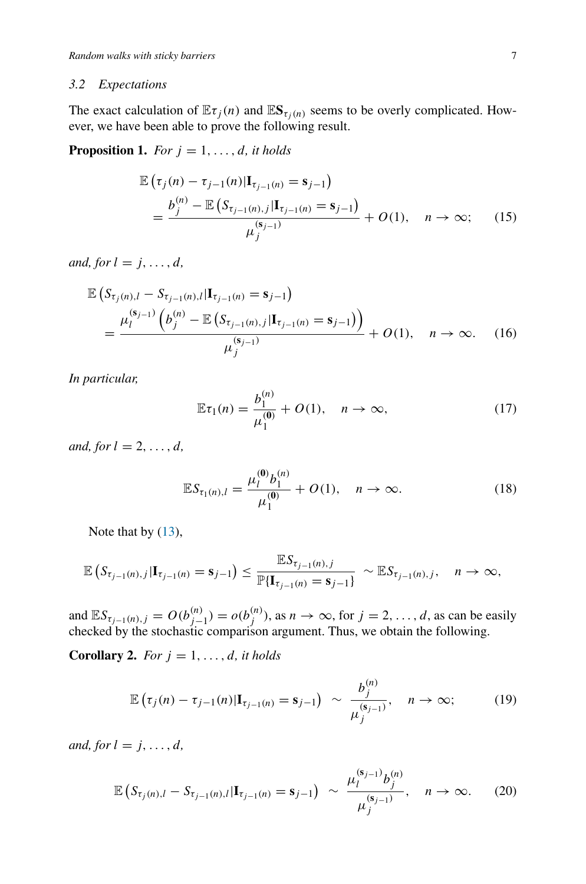#### *3.2 Expectations*

The exact calculation of  $\mathbb{E} \tau_j(n)$  and  $\mathbb{E} \mathbf{S}_{\tau_j(n)}$  seems to be overly complicated. However, we have been able to prove the following result.

<span id="page-6-0"></span>**Proposition 1.** *For*  $j = 1, \ldots, d$ *, it holds* 

$$
\mathbb{E}\left(\tau_j(n) - \tau_{j-1}(n)|\mathbf{I}_{\tau_{j-1}(n)} = \mathbf{s}_{j-1}\right)
$$
\n
$$
= \frac{b_j^{(n)} - \mathbb{E}\left(S_{\tau_{j-1}(n),j}|\mathbf{I}_{\tau_{j-1}(n)} = \mathbf{s}_{j-1}\right)}{\mu_j^{(\mathbf{s}_{j-1})}} + O(1), \quad n \to \infty; \quad (15)
$$

*and, for*  $l = j, \ldots, d$ *,* 

$$
\mathbb{E}\left(S_{\tau_j(n),l} - S_{\tau_{j-1}(n),l}|\mathbf{I}_{\tau_{j-1}(n)} = \mathbf{s}_{j-1}\right)
$$
\n
$$
= \frac{\mu_l^{(\mathbf{s}_{j-1})}\left(b_j^{(n)} - \mathbb{E}\left(S_{\tau_{j-1}(n),j}|\mathbf{I}_{\tau_{j-1}(n)} = \mathbf{s}_{j-1}\right)\right)}{\mu_j^{(\mathbf{s}_{j-1})}} + O(1), \quad n \to \infty. \quad (16)
$$

*In particular,*

$$
\mathbb{E}\tau_1(n) = \frac{b_1^{(n)}}{\mu_1^{(0)}} + O(1), \quad n \to \infty,
$$
 (17)

*and, for*  $l = 2, ..., d$ *,* 

<span id="page-6-1"></span>
$$
\mathbb{E}S_{\tau_1(n),l} = \frac{\mu_l^{(0)}b_1^{(n)}}{\mu_1^{(0)}} + O(1), \quad n \to \infty.
$$
 (18)

Note that by  $(13)$ ,

$$
\mathbb{E}\left(S_{\tau_{j-1}(n),j}|\mathbf{I}_{\tau_{j-1}(n)}=\mathbf{s}_{j-1}\right)\leq \frac{\mathbb{E}S_{\tau_{j-1}(n),j}}{\mathbb{P}\{\mathbf{I}_{\tau_{j-1}(n)}=\mathbf{s}_{j-1}\}} \sim \mathbb{E}S_{\tau_{j-1}(n),j}, \quad n\to\infty,
$$

and  $\mathbb{E}S_{\tau_{j-1}(n),j} = O(b_{j-1}^{(n)}) = o(b_j^{(n)})$ , as  $n \to \infty$ , for  $j = 2, \ldots, d$ , as can be easily checked by the stochastic comparison argument. Thus, we obtain the following.

**Corollary 2.** *For*  $j = 1, \ldots, d$ *, it holds* 

$$
\mathbb{E}\left(\tau_j(n)-\tau_{j-1}(n)|\mathbf{I}_{\tau_{j-1}(n)}=\mathbf{s}_{j-1}\right) \sim \frac{b_j^{(n)}}{\mu_j^{(\mathbf{s}_{j-1})}}, \quad n \to \infty;\tag{19}
$$

*and, for*  $l = j, \ldots, d$ *,* 

$$
\mathbb{E}\left(S_{\tau_j(n),l}-S_{\tau_{j-1}(n),l}|\mathbf{I}_{\tau_{j-1}(n)}=\mathbf{s}_{j-1}\right)\;\sim\;\frac{\mu_l^{(\mathbf{s}_{j-1})}b_j^{(n)}}{\mu_j^{(\mathbf{s}_{j-1})}},\quad n\to\infty.\tag{20}
$$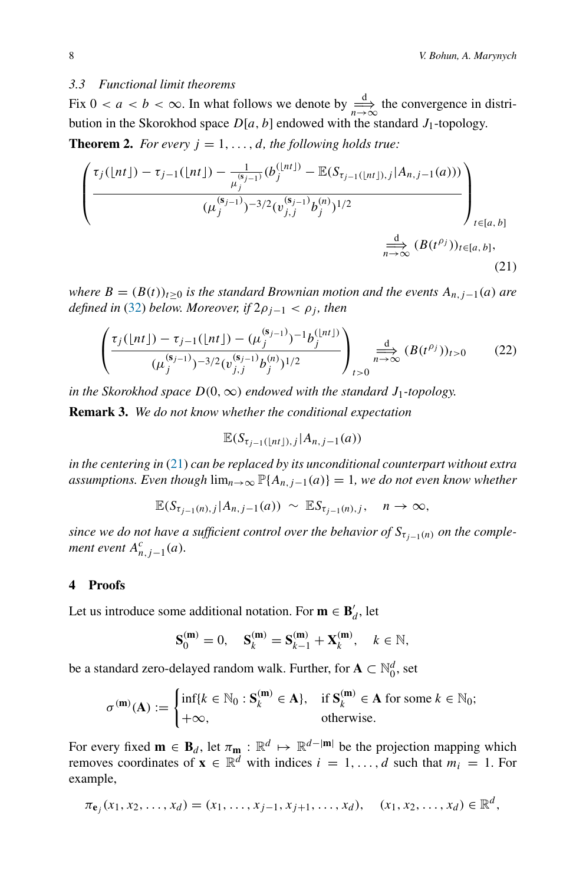## *3.3 Functional limit theorems*

Fix  $0 < a < b < \infty$ . In what follows we denote by  $\frac{d}{n \to \infty}$  the convergence in distribution in the Skorokhod space  $D[a, b]$  endowed with the standard  $J_1$ -topology.

<span id="page-7-2"></span>**Theorem 2.** *For every*  $j = 1, \ldots, d$ *, the following holds true:* 

$$
\left(\frac{\tau_j(\lfloor nt \rfloor) - \tau_{j-1}(\lfloor nt \rfloor) - \frac{1}{\mu_j^{(s_{j-1})}}(b_j^{(\lfloor nt \rfloor)} - \mathbb{E}(S_{\tau_{j-1}(\lfloor nt \rfloor),j}|A_{n,j-1}(a)))}{(\mu_j^{(s_{j-1})})^{-3/2}(\nu_{j,j}^{(s_{j-1})}b_j^{(n)})^{1/2}}\right)_{t \in [a,b]} \xrightarrow{\frac{d}{n \to \infty}} (B(t^{\rho_j}))_{t \in [a,b]},
$$
\n(21)

*where*  $B = (B(t))_{t>0}$  *is the standard Brownian motion and the events*  $A_{n,j-1}(a)$  *are defined in* [\(32\)](#page-9-0) *below. Moreover, if*  $2\rho_{i-1} < \rho_i$ *, then* 

<span id="page-7-3"></span>
$$
\left(\frac{\tau_j(\lfloor nt \rfloor) - \tau_{j-1}(\lfloor nt \rfloor) - (\mu_j^{(s_{j-1})})^{-1} b_j^{(\lfloor nt \rfloor)}}{(\mu_j^{(s_{j-1})})^{-3/2} (\nu_{j,j}^{(s_{j-1})} b_j^{(n)})^{1/2}}\right)_{t>0} \xrightarrow[n \to \infty]{d} (B(t^{\rho_j}))_{t>0} \tag{22}
$$

*in the Skorokhod space*  $D(0, \infty)$  *endowed with the standard*  $J_1$ -topology.

**Remark 3.** *We do not know whether the conditional expectation*

<span id="page-7-1"></span>
$$
\mathbb{E}(S_{\tau_{j-1}(\lfloor nt \rfloor),j}|A_{n,j-1}(a))
$$

*in the centering in* [\(21\)](#page-7-1) *can be replaced by its unconditional counterpart without extra assumptions. Even though*  $\lim_{n\to\infty} \mathbb{P}\{A_{n,j-1}(a)\} = 1$ *, we do not even know whether* 

$$
\mathbb{E}(S_{\tau_{j-1}(n),j}|A_{n,j-1}(a)) \sim \mathbb{E}S_{\tau_{j-1}(n),j}, \quad n \to \infty,
$$

*since we do not have a sufficient control over the behavior of*  $S_{\tau_{i-1}(n)}$  *on the complement event*  $A_{n,j-1}^c(a)$ *.* 

#### <span id="page-7-0"></span>**4 Proofs**

Let us introduce some additional notation. For  $\mathbf{m} \in \mathbf{B}'_d$ , let

$$
\mathbf{S}_0^{(\mathbf{m})} = 0, \quad \mathbf{S}_k^{(\mathbf{m})} = \mathbf{S}_{k-1}^{(\mathbf{m})} + \mathbf{X}_k^{(\mathbf{m})}, \quad k \in \mathbb{N},
$$

be a standard zero-delayed random walk. Further, for  $\mathbf{A} \subset \mathbb{N}_0^d$ , set

$$
\sigma^{(\mathbf{m})}(\mathbf{A}) := \begin{cases} \inf\{k \in \mathbb{N}_0 : \mathbf{S}_k^{(\mathbf{m})} \in \mathbf{A}\}, & \text{if } \mathbf{S}_k^{(\mathbf{m})} \in \mathbf{A} \text{ for some } k \in \mathbb{N}_0; \\ +\infty, & \text{otherwise.} \end{cases}
$$

For every fixed  $\mathbf{m} \in \mathbf{B}_d$ , let  $\pi_{\mathbf{m}} : \mathbb{R}^d \mapsto \mathbb{R}^{d-|\mathbf{m}|}$  be the projection mapping which removes coordinates of  $\mathbf{x} \in \mathbb{R}^d$  with indices  $i = 1, \ldots, d$  such that  $m_i = 1$ . For example,

$$
\pi_{\mathbf{e}_j}(x_1, x_2, \ldots, x_d) = (x_1, \ldots, x_{j-1}, x_{j+1}, \ldots, x_d), \quad (x_1, x_2, \ldots, x_d) \in \mathbb{R}^d,
$$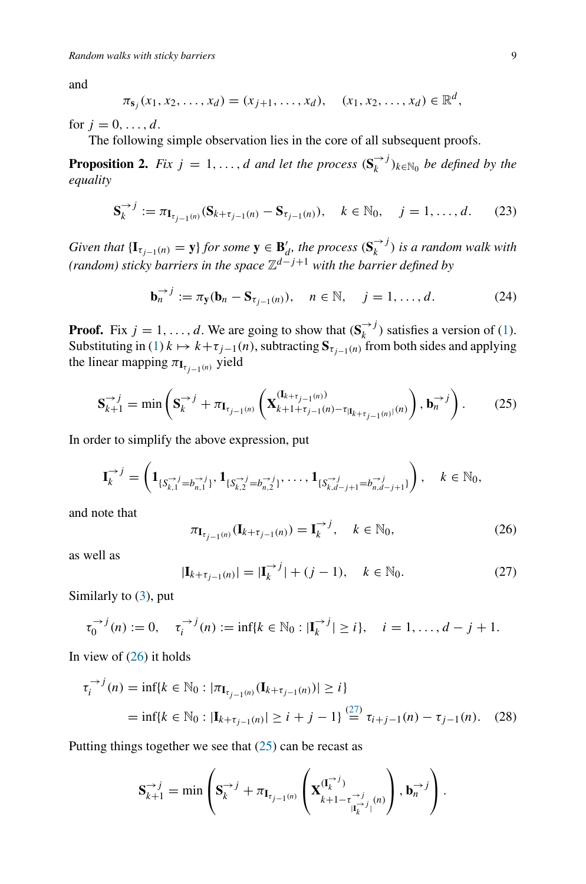and

$$
\pi_{\mathbf{s}_j}(x_1, x_2, \dots, x_d) = (x_{j+1}, \dots, x_d), \quad (x_1, x_2, \dots, x_d) \in \mathbb{R}^d
$$

for  $j = 0, ..., d$ .

The following simple observation lies in the core of all subsequent proofs.

<span id="page-8-4"></span>**Proposition 2.** *Fix*  $j = 1, ..., d$  *and let the process*  $(\mathbf{S}_k^{x})_{k \in \mathbb{N}_0}$  *be defined by the equality*

$$
\mathbf{S}_{k}^{\to j} := \pi_{\mathbf{I}_{\tau_{j-1}(n)}} (\mathbf{S}_{k+\tau_{j-1}(n)} - \mathbf{S}_{\tau_{j-1}(n)}), \quad k \in \mathbb{N}_{0}, \quad j = 1, \dots, d. \tag{23}
$$

*Given that*  $\{\mathbf{I}_{\tau_{j-1}(n)} = \mathbf{y}\}$  *for some*  $\mathbf{y} \in \mathbf{B}'_d$ *, the process*  $(\mathbf{S}_k^{\to j})$  *is a random walk with (random) sticky barriers in the space* Z*d*−*j*+<sup>1</sup> *with the barrier defined by*

$$
\mathbf{b}_n^{\rightarrow j} := \pi_{\mathbf{y}}(\mathbf{b}_n - \mathbf{S}_{\tau_{j-1}(n)}), \quad n \in \mathbb{N}, \quad j = 1, \dots, d. \tag{24}
$$

**Proof.** Fix  $j = 1, ..., d$ . We are going to show that  $(\mathbf{S}_k^{\rightarrow j})$  satisfies a version of [\(1\)](#page-2-1). Substituting in [\(1\)](#page-2-1)  $k \mapsto k + \tau_{j-1}(n)$ , subtracting  $S_{\tau_{j-1}(n)}$  from both sides and applying the linear mapping  $\pi_{\mathbf{I}_{\tau_{i-1}(n)}}$  yield

<span id="page-8-2"></span>
$$
\mathbf{S}_{k+1}^{\to j} = \min\left(\mathbf{S}_{k}^{\to j} + \pi_{\mathbf{I}_{\tau_{j-1}(n)}}\left(\mathbf{X}_{k+1+\tau_{j-1}(n)-\tau_{|\mathbf{I}_{k+\tau_{j-1}(n)}|}^{(\mathbf{I}_{k+\tau_{j-1}(n)})}}), \mathbf{b}_{n}^{\to j}\right). \tag{25}
$$

In order to simplify the above expression, put

$$
\mathbf{I}_{k}^{\to j} = \left(\mathbf{1}_{\{S_{k,1}^{\to j} = b_{n,1}^{\to j}\}}, \mathbf{1}_{\{S_{k,2}^{\to j} = b_{n,2}^{\to j}\}}, \dots, \mathbf{1}_{\{S_{k,d-j+1}^{\to j} = b_{n,d-j+1}^{\to j}\}}\right), \quad k \in \mathbb{N}_{0},
$$

and note that

<span id="page-8-0"></span>
$$
\pi_{I_{\tau_{j-1}(n)}}(I_{k+\tau_{j-1}(n)}) = I_k^{\to j}, \quad k \in \mathbb{N}_0,
$$
\n(26)

as well as

<span id="page-8-3"></span><span id="page-8-1"></span>
$$
|\mathbf{I}_{k+\tau_{j-1}(n)}| = |\mathbf{I}_{k}^{-\lambda_{j}}| + (j-1), \quad k \in \mathbb{N}_{0}.
$$
 (27)

Similarly to [\(3\)](#page-3-3), put

$$
\tau_0^{\to j}(n) := 0, \quad \tau_i^{\to j}(n) := \inf\{k \in \mathbb{N}_0 : |\mathbf{I}_k^{\to j}| \ge i\}, \quad i = 1, ..., d - j + 1.
$$

In view of  $(26)$  it holds

$$
\tau_i^{-j}(n) = \inf\{k \in \mathbb{N}_0 : |\pi_{\mathbf{I}_{\tau_{j-1}(n)}}(\mathbf{I}_{k+\tau_{j-1}(n)})| \ge i\}
$$
  
=  $\inf\{k \in \mathbb{N}_0 : |\mathbf{I}_{k+\tau_{j-1}(n)}| \ge i + j - 1\} \stackrel{(27)}{=} \tau_{i+j-1}(n) - \tau_{j-1}(n).$  (28)

Putting things together we see that  $(25)$  can be recast as

$$
\mathbf{S}_{k+1}^{\rightarrow j} = \min \left( \mathbf{S}_{k}^{\rightarrow j} + \pi_{\mathbf{I}_{\tau_{j-1}(n)}} \left( \mathbf{X}_{k+1-\tau_{|\mathbf{I}_{k}^{\rightarrow j}|}^{(\mathbf{I}_{k}^{\rightarrow j})}(n)}^{(\mathbf{I}_{k}^{\rightarrow j})} \right), \mathbf{b}_{n}^{\rightarrow j} \right).
$$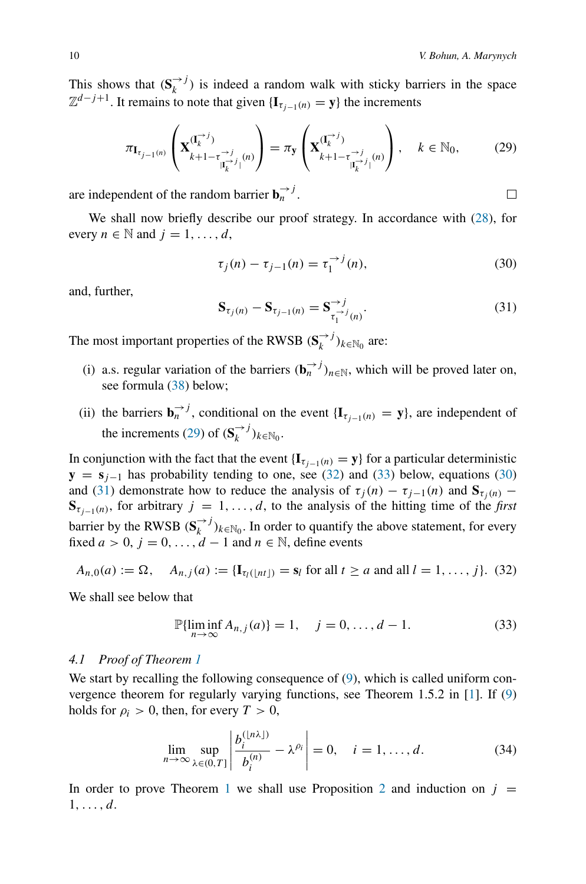$\Box$ 

This shows that  $(S_k^{\rightarrow j})$  is indeed a random walk with sticky barriers in the space  $\mathbb{Z}^{d-j+1}$ . It remains to note that given {**I**<sub>*τ*<sub>*i*−1</sub>(*n*) = **y**} the increments</sub>

<span id="page-9-1"></span>
$$
\pi_{\mathbf{I}_{\tau_{j-1}(n)}}\left(\mathbf{X}_{k+1-\tau_{|\mathbf{I}_{k}^{-}}^{(\tau)}}^{(\mathbf{I}_{k}^{-},j)}(\mathbf{a})\right)=\pi_{\mathbf{y}}\left(\mathbf{X}_{k+1-\tau_{|\mathbf{I}_{k}^{-}}^{(\tau)}}^{(\mathbf{I}_{k}^{-},j)}(\mathbf{a})\right), \quad k \in \mathbb{N}_{0},\tag{29}
$$

are independent of the random barrier  $\mathbf{b}_n^{\rightarrow j}$ .

We shall now briefly describe our proof strategy. In accordance with [\(28\)](#page-8-3), for every  $n \in \mathbb{N}$  and  $j = 1, \ldots, d$ ,

<span id="page-9-3"></span>
$$
\tau_j(n) - \tau_{j-1}(n) = \tau_1^{-j}(n),
$$
\n(30)

and, further,

<span id="page-9-4"></span>
$$
\mathbf{S}_{\tau_j(n)} - \mathbf{S}_{\tau_{j-1}(n)} = \mathbf{S}_{\tau_1^{-j}(n)}^{-j}.
$$
 (31)

The most important properties of the RWSB  $(\mathbf{S}_k^{r})_{k \in \mathbb{N}_0}$  are:

- (i) a.s. regular variation of the barriers  $(\mathbf{b}_n^{\rightarrow j})_{n \in \mathbb{N}}$ , which will be proved later on, see formula [\(38\)](#page-11-0) below;
- (ii) the barriers  $\mathbf{b}_n^{-j}$ , conditional on the event { $\mathbf{I}_{\tau_{j-1}(n)} = \mathbf{y}$ }, are independent of the increments [\(29\)](#page-9-1) of  $(\mathbf{S}_k^{\rightarrow j})_{k \in \mathbb{N}_0}$ .

In conjunction with the fact that the event  $\{I_{\tau_{i-1}(n)} = y\}$  for a particular deterministic  **has probability tending to one, see [\(32\)](#page-9-0) and [\(33\)](#page-9-2) below, equations [\(30\)](#page-9-3)** and [\(31\)](#page-9-4) demonstrate how to reduce the analysis of  $\tau_j(n) - \tau_{j-1}(n)$  and  $S_{\tau_j(n)}$  –  $S_{\tau_{i-1}(n)}$ , for arbitrary *j* = 1,...,*d*, to the analysis of the hitting time of the *first* barrier by the RWSB  $(S_k^{\rightarrow j})_{k \in \mathbb{N}_0}$ . In order to quantify the above statement, for every fixed  $a > 0$ ,  $j = 0, \ldots, d - 1$  and  $n \in \mathbb{N}$ , define events

<span id="page-9-0"></span>
$$
A_{n,0}(a) := \Omega, \quad A_{n,j}(a) := \{ \mathbf{I}_{\tau_l(\lfloor nt \rfloor)} = \mathbf{s}_l \text{ for all } t \ge a \text{ and all } l = 1, \dots, j \}. \tag{32}
$$

We shall see below that

<span id="page-9-2"></span>
$$
\mathbb{P}\{\liminf_{n \to \infty} A_{n,j}(a)\} = 1, \quad j = 0, \dots, d - 1.
$$
 (33)

## *4.1 Proof of Theorem [1](#page-5-2)*

We start by recalling the following consequence of [\(9\)](#page-4-1), which is called uniform convergence theorem for regularly varying functions, see Theorem 1.5.2 in [\[1\]](#page-18-5). If [\(9\)](#page-4-1) holds for  $\rho_i > 0$ , then, for every  $T > 0$ ,

<span id="page-9-5"></span>
$$
\lim_{n \to \infty} \sup_{\lambda \in (0,T]} \left| \frac{b_i^{(\lfloor n\lambda \rfloor)}}{b_i^{(n)}} - \lambda^{\rho_i} \right| = 0, \quad i = 1, \dots, d. \tag{34}
$$

In order to prove Theorem [1](#page-5-2) we shall use Proposition [2](#page-8-4) and induction on  $j =$ 1*,...,d*.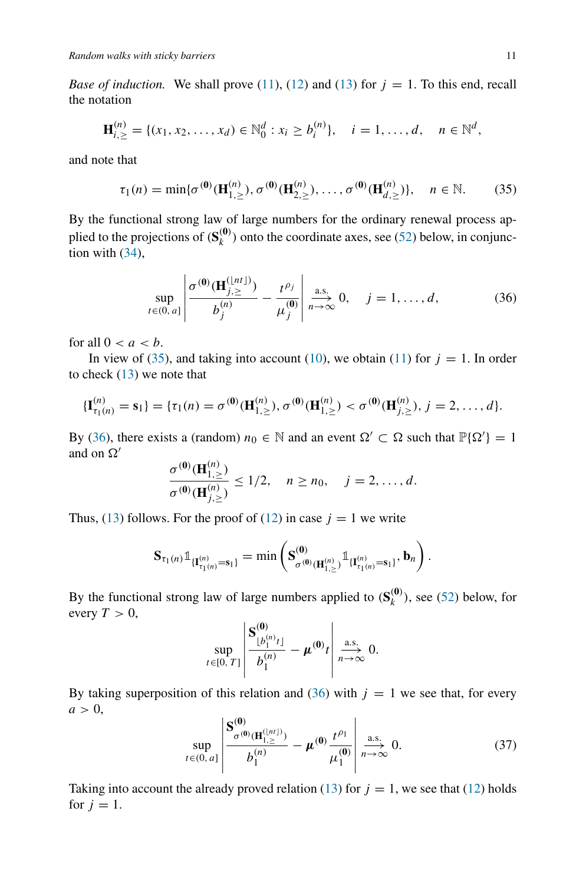*Base of induction.* We shall prove [\(11\)](#page-5-1), [\(12\)](#page-5-5) and [\(13\)](#page-5-4) for  $j = 1$ . To this end, recall the notation

$$
\mathbf{H}_{i,\geq}^{(n)} = \{ (x_1, x_2, \dots, x_d) \in \mathbb{N}_0^d : x_i \geq b_i^{(n)} \}, \quad i = 1, \dots, d, \quad n \in \mathbb{N}^d,
$$

and note that

<span id="page-10-0"></span>
$$
\tau_1(n) = \min{\{\sigma^{(0)}(\mathbf{H}_{1,\ge}^{(n)}), \sigma^{(0)}(\mathbf{H}_{2,\ge}^{(n)}), \dots, \sigma^{(0)}(\mathbf{H}_{d,\ge}^{(n)})\}}, \quad n \in \mathbb{N}.
$$
 (35)

By the functional strong law of large numbers for the ordinary renewal process applied to the projections of  $(\mathbf{S}_k^{(0)})$  onto the coordinate axes, see [\(52\)](#page-17-0) below, in conjunction with  $(34)$ ,

<span id="page-10-1"></span>
$$
\sup_{t \in (0, a]} \left| \frac{\sigma^{(0)}(\mathbf{H}_{j, \geq}^{(\lfloor nt \rfloor)})}{b_j^{(n)}} - \frac{t^{\rho_j}}{\mu_j^{(0)}} \right| \xrightarrow[n \to \infty]{\text{a.s.}} 0, \quad j = 1, ..., d,
$$
 (36)

for all  $0 < a < b$ .

In view of [\(35\)](#page-10-0), and taking into account [\(10\)](#page-4-2), we obtain [\(11\)](#page-5-1) for  $j = 1$ . In order to check [\(13\)](#page-5-4) we note that

$$
\{\mathbf{I}_{\tau_1(n)}^{(n)} = \mathbf{s}_1\} = \{\tau_1(n) = \sigma^{(0)}(\mathbf{H}_{1,\geq}^{(n)}), \sigma^{(0)}(\mathbf{H}_{1,\geq}^{(n)}) < \sigma^{(0)}(\mathbf{H}_{j,\geq}^{(n)}), j = 2, \ldots, d\}.
$$

By [\(36\)](#page-10-1), there exists a (random)  $n_0 \in \mathbb{N}$  and an event  $\Omega' \subset \Omega$  such that  $\mathbb{P}\{\Omega'\} = 1$ and on  $\Omega'$ 

$$
\frac{\sigma^{(0)}(\mathbf{H}_{1,\ge}^{(n)})}{\sigma^{(0)}(\mathbf{H}_{j,\ge}^{(n)})} \le 1/2, \quad n \ge n_0, \quad j = 2, \dots, d.
$$

Thus, [\(13\)](#page-5-4) follows. For the proof of [\(12\)](#page-5-5) in case  $j = 1$  we write

$$
\mathbf{S}_{\tau_1(n)} \mathbb{1}_{\{\mathbf{I}_{\tau_1(n)}^{(n)} = \mathbf{s}_1\}} = \min \left( \mathbf{S}_{\sigma^{(0)}(\mathbf{H}_{1, \geq}^{(n)})}^{(0)} \mathbb{1}_{\{\mathbf{I}_{\tau_1(n)}^{(n)} = \mathbf{s}_1\}}, \mathbf{b}_n \right).
$$

By the functional strong law of large numbers applied to  $(S_k^{(0)})$ , see [\(52\)](#page-17-0) below, for every  $T > 0$ ,

$$
\sup_{t\in[0,\,T]}\left|\frac{\mathbf{S}_{\lfloor b_1^{(n)}t\rfloor}^{(0)}}{b_1^{(n)}}-\mu^{(0)}t\right|\underset{n\to\infty}{\overset{\text{a.s.}}{\longrightarrow}}0.
$$

By taking superposition of this relation and  $(36)$  with  $j = 1$  we see that, for every  $a > 0$ ,

<span id="page-10-2"></span>
$$
\sup_{t \in (0, a]} \left| \frac{\mathbf{S}^{(0)}_{\sigma^{(0)}(\mathbf{H}_{1, \ge 0}^{(|n|)})}}{b_1^{(n)}} - \boldsymbol{\mu}^{(0)} \frac{t^{\rho_1}}{\boldsymbol{\mu}_1^{(0)}} \right| \xrightarrow[n \to \infty]{} 0. \tag{37}
$$

Taking into account the already proved relation [\(13\)](#page-5-4) for  $j = 1$ , we see that [\(12\)](#page-5-5) holds for  $j = 1$ .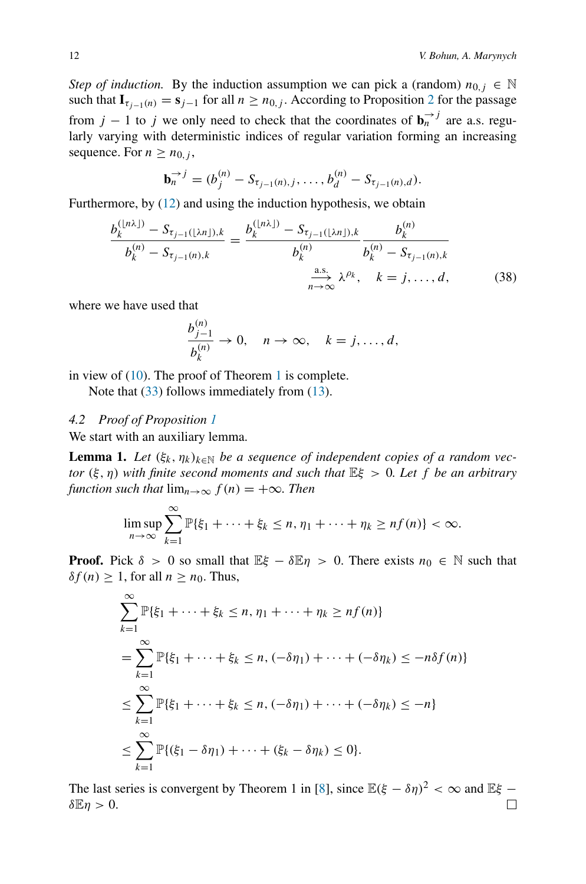*Step of induction.* By the induction assumption we can pick a (random)  $n_{0,i} \in \mathbb{N}$ such that  $\mathbf{I}_{\tau_{i-1}(n)} = \mathbf{s}_{j-1}$  for all  $n \geq n_{0,j}$ . According to Proposition [2](#page-8-4) for the passage from *j* − 1 to *j* we only need to check that the coordinates of  $\mathbf{b}_n^{\rightarrow j}$  are a.s. regularly varying with deterministic indices of regular variation forming an increasing sequence. For  $n \geq n_{0,i}$ ,

$$
\mathbf{b}_n^{-j} = (b_j^{(n)} - S_{\tau_{j-1}(n),j}, \ldots, b_d^{(n)} - S_{\tau_{j-1}(n),d}).
$$

Furthermore, by [\(12\)](#page-5-5) and using the induction hypothesis, we obtain

<span id="page-11-0"></span>
$$
\frac{b_k^{(\lfloor n\lambda \rfloor)} - S_{\tau_{j-1}(\lfloor \lambda n \rfloor),k}}{b_k^{(n)} - S_{\tau_{j-1}(n),k}} = \frac{b_k^{(\lfloor n\lambda \rfloor)} - S_{\tau_{j-1}(\lfloor \lambda n \rfloor),k}}{b_k^{(n)}} \frac{b_k^{(n)}}{b_k^{(n)} - S_{\tau_{j-1}(n),k}}
$$
\n
$$
\frac{\text{a.s.}}{n \to \infty} \lambda^{\rho_k}, \quad k = j, \dots, d,
$$
\n(38)

where we have used that

$$
\frac{b_{j-1}^{(n)}}{b_k^{(n)}} \to 0, \quad n \to \infty, \quad k = j, \dots, d,
$$

in view of  $(10)$ . The proof of Theorem [1](#page-5-2) is complete.

*b(n)*

Note that [\(33\)](#page-9-2) follows immediately from [\(13\)](#page-5-4).

## *4.2 Proof of Proposition [1](#page-6-0)*

We start with an auxiliary lemma.

<span id="page-11-1"></span>**Lemma 1.** *Let*  $(\xi_k, \eta_k)_{k \in \mathbb{N}}$  *be a sequence of independent copies of a random vector (ξ, η) with finite second moments and such that* E*ξ >* 0*. Let f be an arbitrary function such that*  $\lim_{n\to\infty} f(n) = +\infty$ *. Then* 

$$
\limsup_{n\to\infty}\sum_{k=1}^{\infty}\mathbb{P}\{\xi_1+\cdots+\xi_k\leq n,\eta_1+\cdots+\eta_k\geq nf(n)\}<\infty.
$$

**Proof.** Pick  $\delta > 0$  so small that  $E\xi - \delta E\eta > 0$ . There exists  $n_0 \in \mathbb{N}$  such that  $\delta f(n) \geq 1$ , for all  $n \geq n_0$ . Thus,

$$
\sum_{k=1}^{\infty} \mathbb{P}\{\xi_1 + \dots + \xi_k \le n, \eta_1 + \dots + \eta_k \ge nf(n)\}
$$
  
= 
$$
\sum_{k=1}^{\infty} \mathbb{P}\{\xi_1 + \dots + \xi_k \le n, (-\delta \eta_1) + \dots + (-\delta \eta_k) \le -n\delta f(n)\}
$$
  

$$
\le \sum_{k=1}^{\infty} \mathbb{P}\{\xi_1 + \dots + \xi_k \le n, (-\delta \eta_1) + \dots + (-\delta \eta_k) \le -n\}
$$
  

$$
\le \sum_{k=1}^{\infty} \mathbb{P}\{(\xi_1 - \delta \eta_1) + \dots + (\xi_k - \delta \eta_k) \le 0\}.
$$

The last series is convergent by Theorem 1 in [\[8](#page-18-6)], since  $\mathbb{E}(\xi - \delta \eta)^2 < \infty$  and  $\mathbb{E} \xi$  – *δ*E*η >* 0. $\Box$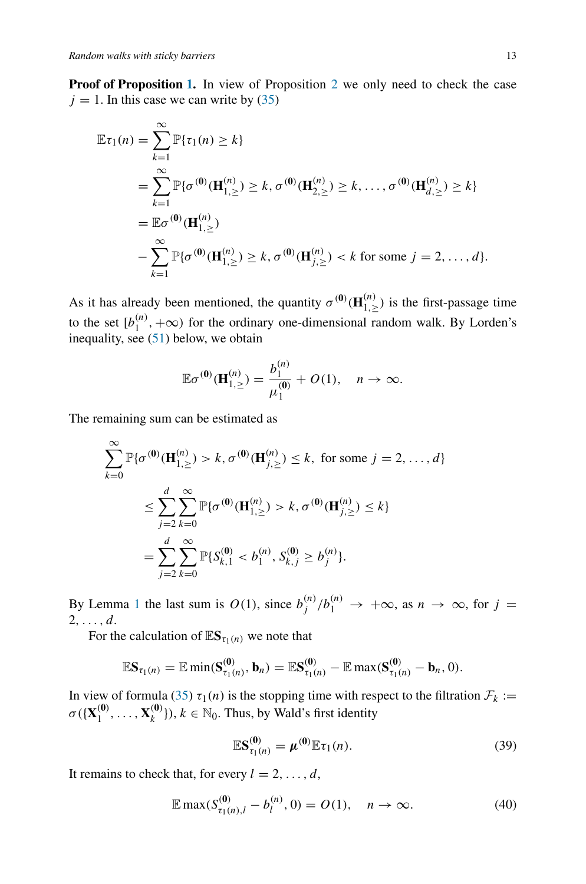**Proof of Proposition [1.](#page-6-0)** In view of Proposition [2](#page-8-4) we only need to check the case  $j = 1$ . In this case we can write by  $(35)$ 

$$
\mathbb{E}\tau_1(n) = \sum_{k=1}^{\infty} \mathbb{P}\{\tau_1(n) \ge k\}
$$
  
=  $\sum_{k=1}^{\infty} \mathbb{P}\{\sigma^{(0)}(\mathbf{H}_{1,\ge}^{(n)}) \ge k, \sigma^{(0)}(\mathbf{H}_{2,\ge}^{(n)}) \ge k, ..., \sigma^{(0)}(\mathbf{H}_{d,\ge}^{(n)}) \ge k\}$   
=  $\mathbb{E}\sigma^{(0)}(\mathbf{H}_{1,\ge}^{(n)})$   
-  $\sum_{k=1}^{\infty} \mathbb{P}\{\sigma^{(0)}(\mathbf{H}_{1,\ge}^{(n)}) \ge k, \sigma^{(0)}(\mathbf{H}_{j,\ge}^{(n)}) < k \text{ for some } j = 2, ..., d\}.$ 

As it has already been mentioned, the quantity  $\sigma^{(0)}(\mathbf{H}_{1,\geq}^{(n)})$  is the first-passage time to the set  $[b_1^{(n)}, +\infty)$  for the ordinary one-dimensional random walk. By Lorden's inequality, see  $(51)$  below, we obtain

$$
\mathbb{E}\sigma^{(0)}(\mathbf{H}_{1,\geq}^{(n)}) = \frac{b_1^{(n)}}{\mu_1^{(0)}} + O(1), \quad n \to \infty.
$$

The remaining sum can be estimated as

$$
\sum_{k=0}^{\infty} \mathbb{P}\{\sigma^{(0)}(\mathbf{H}_{1,\ge}^{(n)}) > k, \sigma^{(0)}(\mathbf{H}_{j,\ge}^{(n)}) \le k, \text{ for some } j = 2, ..., d\}
$$
  

$$
\le \sum_{j=2}^{d} \sum_{k=0}^{\infty} \mathbb{P}\{\sigma^{(0)}(\mathbf{H}_{1,\ge}^{(n)}) > k, \sigma^{(0)}(\mathbf{H}_{j,\ge}^{(n)}) \le k\}
$$
  

$$
= \sum_{j=2}^{d} \sum_{k=0}^{\infty} \mathbb{P}\{S_{k,1}^{(0)} < b_{1}^{(n)}, S_{k,j}^{(0)} \ge b_{j}^{(n)}\}.
$$

By Lemma [1](#page-11-1) the last sum is  $O(1)$ , since  $b_j^{(n)}/b_1^{(n)} \to +\infty$ , as  $n \to \infty$ , for  $j =$ 2*,...,d*.

For the calculation of  $\mathbb{E}S_{\tau_1(n)}$  we note that

$$
\mathbb{E} \mathbf{S}_{\tau_1(n)} = \mathbb{E} \min(\mathbf{S}_{\tau_1(n)}^{(0)}, \mathbf{b}_n) = \mathbb{E} \mathbf{S}_{\tau_1(n)}^{(0)} - \mathbb{E} \max(\mathbf{S}_{\tau_1(n)}^{(0)} - \mathbf{b}_n, 0).
$$

In view of formula [\(35\)](#page-10-0)  $\tau_1(n)$  is the stopping time with respect to the filtration  $\mathcal{F}_k :=$  $\sigma({\{X_1^{(0)}, \ldots, X_k^{(0)}\}}), k \in \mathbb{N}_0$ . Thus, by Wald's first identity

<span id="page-12-0"></span>
$$
\mathbb{E} \mathbf{S}_{\tau_1(n)}^{(0)} = \boldsymbol{\mu}^{(0)} \mathbb{E} \tau_1(n). \tag{39}
$$

It remains to check that, for every  $l = 2, \ldots, d$ ,

<span id="page-12-1"></span>
$$
\mathbb{E}\max(S_{\tau_1(n),l}^{(0)} - b_l^{(n)}, 0) = O(1), \quad n \to \infty.
$$
 (40)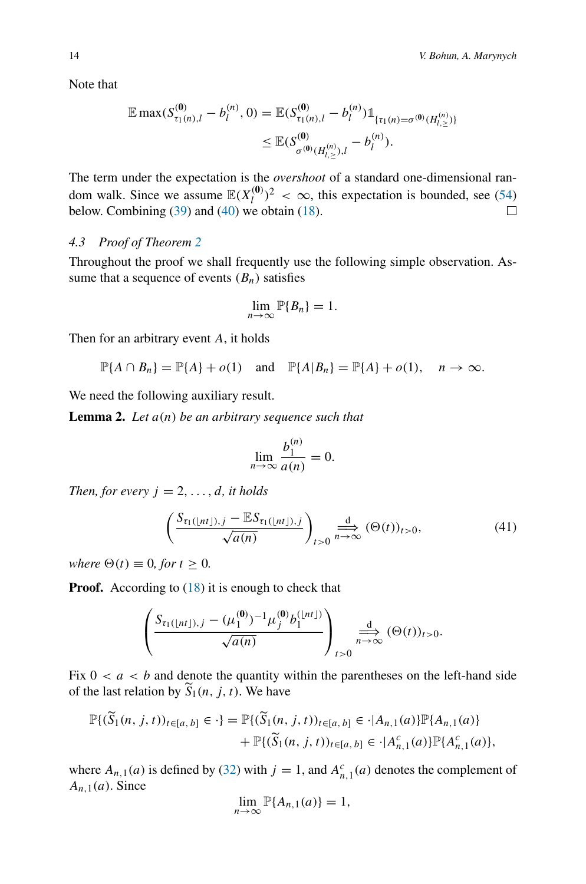Note that

$$
\mathbb{E} \max(S_{\tau_1(n),l}^{(0)} - b_l^{(n)}, 0) = \mathbb{E}(S_{\tau_1(n),l}^{(0)} - b_l^{(n)}) \mathbb{1}_{\{\tau_1(n) = \sigma^{(0)}(H_{l,\ge}^{(n)})\}} \\
\leq \mathbb{E}(S_{\sigma^{(0)}(H_{l,\ge}^{(n)}),l}^{(0)} - b_l^{(n)}).
$$

The term under the expectation is the *overshoot* of a standard one-dimensional random walk. Since we assume  $\mathbb{E}(X_l^{(0)})^2 < \infty$ , this expectation is bounded, see [\(54\)](#page-18-7) below. Combining  $(39)$  and  $(40)$  we obtain  $(18)$ .

## *4.3 Proof of Theorem [2](#page-7-2)*

Throughout the proof we shall frequently use the following simple observation. Assume that a sequence of events  $(B_n)$  satisfies

$$
\lim_{n\to\infty}\mathbb{P}\{B_n\}=1.
$$

Then for an arbitrary event *A*, it holds

$$
\mathbb{P}\{A \cap B_n\} = \mathbb{P}\{A\} + o(1) \quad \text{and} \quad \mathbb{P}\{A|B_n\} = \mathbb{P}\{A\} + o(1), \quad n \to \infty.
$$

We need the following auxiliary result.

<span id="page-13-1"></span>**Lemma 2.** *Let a(n) be an arbitrary sequence such that*

$$
\lim_{n \to \infty} \frac{b_1^{(n)}}{a(n)} = 0.
$$

*Then, for every*  $j = 2, \ldots, d$ *, it holds* 

<span id="page-13-0"></span>
$$
\left(\frac{S_{\tau_1(\lfloor nt \rfloor),j} - \mathbb{E}S_{\tau_1(\lfloor nt \rfloor),j}}{\sqrt{a(n)}}\right)_{t>0} \xrightarrow[n \to \infty]{\text{d}} (\Theta(t))_{t>0},\tag{41}
$$

*where*  $\Theta(t) \equiv 0$ *, for*  $t \geq 0$ *.* 

**Proof.** According to [\(18\)](#page-6-1) it is enough to check that

$$
\left(\frac{S_{\tau_1(\lfloor nt \rfloor),j} - (\mu_1^{(0)})^{-1} \mu_j^{(0)} b_1^{\lfloor nt \rfloor)}}{\sqrt{a(n)}}\right)_{t>0} \xrightarrow[n \to \infty]{} (\Theta(t))_{t>0}.
$$

Fix  $0 < a < b$  and denote the quantity within the parentheses on the left-hand side of the last relation by  $\widetilde{S}_1(n, j, t)$ . We have

$$
\mathbb{P}\{(\widetilde{S}_1(n,j,t))_{t\in[a,b]}\in \cdot\} = \mathbb{P}\{(\widetilde{S}_1(n,j,t))_{t\in[a,b]}\in \cdot |A_{n,1}(a)\}\mathbb{P}\{A_{n,1}(a)\} + \mathbb{P}\{(\widetilde{S}_1(n,j,t))_{t\in[a,b]}\in \cdot |A_{n,1}^c(a)\}\mathbb{P}\{A_{n,1}^c(a)\},
$$

where  $A_{n,1}(a)$  is defined by [\(32\)](#page-9-0) with  $j = 1$ , and  $A_{n,1}^c(a)$  denotes the complement of *An,*1*(a)*. Since

$$
\lim_{n\to\infty}\mathbb{P}\{A_{n,1}(a)\}=1,
$$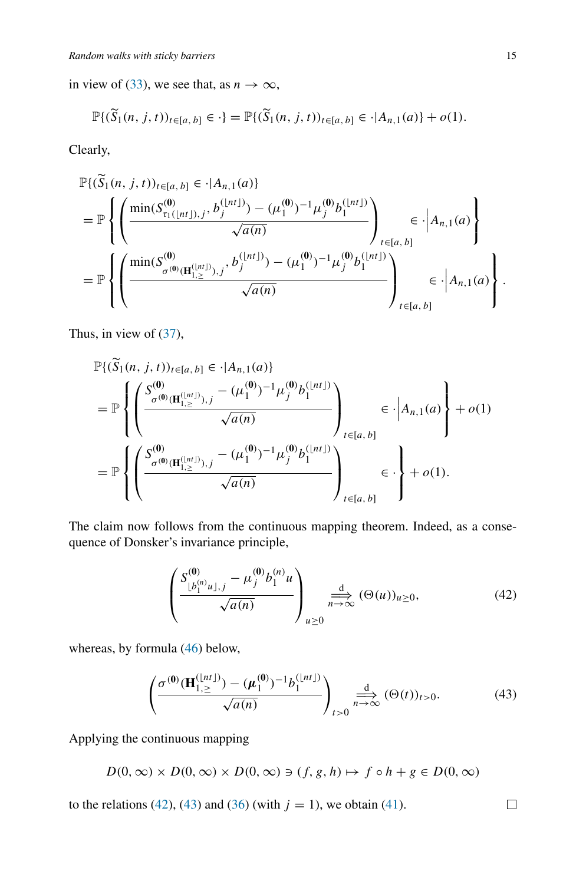in view of [\(33\)](#page-9-2), we see that, as  $n \to \infty$ ,

$$
\mathbb{P}\{(\widetilde{S}_1(n,j,t))_{t\in[a,b]}\in\cdot\}=\mathbb{P}\{(\widetilde{S}_1(n,j,t))_{t\in[a,b]}\in\cdot|A_{n,1}(a)\}+o(1).
$$

Clearly,

$$
\mathbb{P}\{(\widetilde{S}_{1}(n, j, t))_{t\in[a, b]} \in \cdot | A_{n,1}(a) \}
$$
\n
$$
= \mathbb{P}\left\{\left(\frac{\min(S_{\tau_{1}([nt]), j}^{(0)}, b_{j}^{([nt])}) - (\mu_{1}^{(0)})^{-1} \mu_{j}^{(0)} b_{1}^{([nt])}}{\sqrt{a(n)}}\right)_{t\in[a, b]} \in \cdot | A_{n,1}(a) \right\}
$$
\n
$$
= \mathbb{P}\left\{\left(\frac{\min(S_{\sigma^{(0)}(H_{1,\ge}^{(0)}), j}, b_{j}^{([nt])}) - (\mu_{1}^{(0)})^{-1} \mu_{j}^{(0)} b_{1}^{([nt])}}{\sqrt{a(n)}}\right)_{t\in[a, b]} \in \cdot | A_{n,1}(a) \right\}.
$$

Thus, in view of [\(37\)](#page-10-2),

$$
\mathbb{P}\{(\widetilde{S}_{1}(n, j, t))_{t\in[a, b]} \in \cdot |A_{n,1}(a)\}\n= \mathbb{P}\left\{\left(\frac{S^{(0)}_{\sigma^{(0)}(\mathbf{H}_{1,\ge}^{(|n t)}), j} - (\mu_1^{(0)})^{-1} \mu_j^{(0)} b_1^{(|n t|)})}{\sqrt{a(n)}}\right)_{t\in[a, b]}\n\in \cdot |A_{n,1}(a)\n\right\} + o(1)\n= \mathbb{P}\left\{\left(\frac{S^{(0)}_{\sigma^{(0)}(\mathbf{H}_{1,\ge}^{(|n t)}), j} - (\mu_1^{(0)})^{-1} \mu_j^{(0)} b_1^{(|n t|)})}{\sqrt{a(n)}}\right)_{t\in[a, b]}\n\in \cdot \right\} + o(1).
$$

The claim now follows from the continuous mapping theorem. Indeed, as a consequence of Donsker's invariance principle,

<span id="page-14-0"></span>
$$
\left(\frac{S^{(0)}_{\lfloor b_1^{(n)}u\rfloor,j} - \mu_j^{(0)}b_1^{(n)}u}{\sqrt{a(n)}}\right)_{u\geq 0} \xrightarrow[n \to \infty]{\frac{d}{n \to \infty}} (\Theta(u))_{u\geq 0},
$$
\n(42)

whereas, by formula [\(46\)](#page-15-0) below,

<span id="page-14-1"></span>
$$
\left(\frac{\sigma^{(0)}(\mathbf{H}_{1,\ge}^{(|nt|)}) - (\mu_1^{(0)})^{-1} b_1^{(|nt|)} }{\sqrt{a(n)}}\right)_{t>0} \stackrel{d}{\underset{n\to\infty}{\longrightarrow}} (\Theta(t))_{t>0}.
$$
 (43)

Applying the continuous mapping

$$
D(0,\infty)\times D(0,\infty)\times D(0,\infty)\ni (f,g,h)\mapsto f\circ h+g\in D(0,\infty)
$$

to the relations [\(42\)](#page-14-0), [\(43\)](#page-14-1) and [\(36\)](#page-10-1) (with  $j = 1$ ), we obtain [\(41\)](#page-13-0).

 $\Box$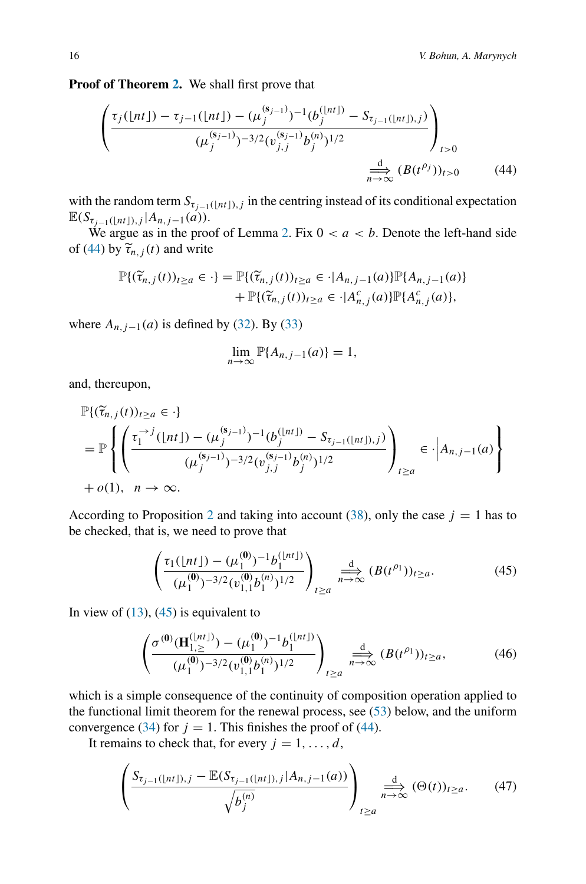**Proof of Theorem [2.](#page-7-2)** We shall first prove that

<span id="page-15-1"></span>
$$
\left(\frac{\tau_j(\lfloor nt \rfloor) - \tau_{j-1}(\lfloor nt \rfloor) - (\mu_j^{(s_{j-1})})^{-1} (b_j^{(\lfloor nt \rfloor)} - S_{\tau_{j-1}(\lfloor nt \rfloor),j})}{(\mu_j^{(s_{j-1})})^{-3/2} (\nu_{j,j}^{(s_{j-1})} b_j^{(n)})^{1/2}}\right)_{t>0}
$$
\n
$$
\stackrel{\underline{d}}{\underset{n\to\infty}{\longrightarrow}} (B(t^{\rho_j}))_{t>0} \tag{44}
$$

with the random term  $S_{\tau_{j-1}(\lfloor nt \rfloor),j}$  in the centring instead of its conditional expectation  $\mathbb{E}(S_{\tau_{i-1}(\lfloor nt \rfloor),j} | A_{n,j-1}(a)).$ 

We argue as in the proof of Lemma [2.](#page-13-1) Fix  $0 < a < b$ . Denote the left-hand side of [\(44\)](#page-15-1) by  $\tilde{\tau}_{n,i}(t)$  and write

$$
\mathbb{P}\{(\widetilde{\tau}_{n,j}(t))_{t\geq a}\in \cdot\} = \mathbb{P}\{(\widetilde{\tau}_{n,j}(t))_{t\geq a}\in \cdot | A_{n,j-1}(a)\} \mathbb{P}\{A_{n,j-1}(a)\} + \mathbb{P}\{(\widetilde{\tau}_{n,j}(t))_{t\geq a}\in \cdot | A_{n,j}^c(a)\} \mathbb{P}\{A_{n,j}^c(a)\},
$$

where  $A_{n,j-1}(a)$  is defined by [\(32\)](#page-9-0). By [\(33\)](#page-9-2)

$$
\lim_{n\to\infty}\mathbb{P}\{A_{n,j-1}(a)\}=1,
$$

and, thereupon,

$$
\mathbb{P}\{(\widetilde{\tau}_{n,j}(t))_{t\geq a}\in \cdot\}
$$
\n
$$
= \mathbb{P}\left\{\left(\frac{\tau_1^{-j}(\lfloor nt \rfloor) - (\mu_j^{(s_{j-1})})^{-1} (b_j^{(\lfloor nt \rfloor)} - S_{\tau_{j-1}(\lfloor nt \rfloor),j})}{(\mu_j^{(s_{j-1})})^{-3/2} (\nu_{j,j}^{(s_{j-1})} b_j^{(n)})^{1/2}}\right)_{t\geq a} \in \cdot\Big|A_{n,j-1}(a)\right\}
$$
\n
$$
+ o(1), \quad n \to \infty.
$$

According to Proposition [2](#page-8-4) and taking into account [\(38\)](#page-11-0), only the case  $j = 1$  has to be checked, that is, we need to prove that

<span id="page-15-2"></span>
$$
\left(\frac{\tau_1(\lfloor nt \rfloor) - (\mu_1^{(0)})^{-1} b_1^{(\lfloor nt \rfloor)}}{(\mu_1^{(0)})^{-3/2} (\nu_{1,1}^{(0)} b_1^{(n)})^{1/2}}\right)_{t \ge a} \xrightarrow[n \to \infty]{} \frac{d}{n \to \infty} (B(t^{\rho_1}))_{t \ge a}.
$$
\n(45)

In view of  $(13)$ ,  $(45)$  is equivalent to

<span id="page-15-0"></span>
$$
\left(\frac{\sigma^{(0)}(\mathbf{H}_{1,\ge}^{(\lfloor nt \rfloor)}) - (\mu_1^{(0)})^{-1} b_1^{(\lfloor nt \rfloor)} }{(\mu_1^{(0)})^{-3/2} (\nu_{1,1}^{(0)} b_1^{(n)})^{1/2}}\right)_{t \ge a} \xrightarrow[n \to \infty]{\text{d}} (B(t^{\rho_1}))_{t \ge a}, \tag{46}
$$

which is a simple consequence of the continuity of composition operation applied to the functional limit theorem for the renewal process, see [\(53\)](#page-17-2) below, and the uniform convergence [\(34\)](#page-9-5) for  $j = 1$ . This finishes the proof of [\(44\)](#page-15-1).

It remains to check that, for every  $j = 1, \ldots, d$ ,

<span id="page-15-3"></span>
$$
\left(\frac{S_{\tau_{j-1}(\lfloor nt \rfloor),j} - \mathbb{E}(S_{\tau_{j-1}(\lfloor nt \rfloor),j}|A_{n,j-1}(a))}{\sqrt{b_j^{(n)}}}\right)_{t \ge a} \xrightarrow[n \to \infty]{d} (\Theta(t))_{t \ge a}.
$$
 (47)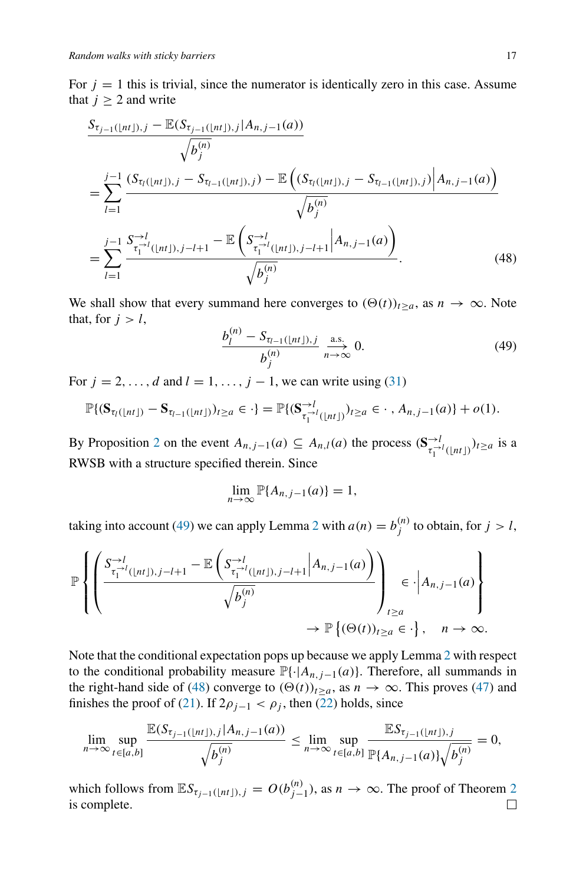For  $j = 1$  this is trivial, since the numerator is identically zero in this case. Assume that  $j \geq 2$  and write

$$
\frac{S_{\tau_{j-1}(\lfloor nt \rfloor),j} - \mathbb{E}(S_{\tau_{j-1}(\lfloor nt \rfloor),j}|A_{n,j-1}(a))}{\sqrt{b_j^{(n)}}}
$$
\n
$$
= \sum_{l=1}^{j-1} \frac{(S_{\tau_l(\lfloor nt \rfloor),j} - S_{\tau_{l-1}(\lfloor nt \rfloor),j}) - \mathbb{E}\left((S_{\tau_l(\lfloor nt \rfloor),j} - S_{\tau_{l-1}(\lfloor nt \rfloor),j})|A_{n,j-1}(a)\right)}{\sqrt{b_j^{(n)}}}
$$
\n
$$
= \sum_{l=1}^{j-1} \frac{S_{\tau_1^{l-1}(\lfloor nt \rfloor),j-l+1}^{-l} - \mathbb{E}\left(S_{\tau_1^{l-1}(\lfloor nt \rfloor),j-l+1}^{-l}\middle|A_{n,j-1}(a)\right)}{\sqrt{b_j^{(n)}}}. \tag{48}
$$

We shall show that every summand here converges to  $(\Theta(t))_{t>a}$ , as  $n \to \infty$ . Note that, for  $j > l$ ,

<span id="page-16-1"></span><span id="page-16-0"></span>
$$
\frac{b_l^{(n)} - S_{\tau_{l-1}(\lfloor nt \rfloor),j}}{b_j^{(n)}} \xrightarrow[n \to \infty]{\text{a.s.}} 0.
$$
 (49)

For  $j = 2, \ldots, d$  and  $l = 1, \ldots, j - 1$ , we can write using [\(31\)](#page-9-4)

$$
\mathbb{P}\{(\mathbf{S}_{\tau_l(\lfloor nt \rfloor)} - \mathbf{S}_{\tau_{l-1}(\lfloor nt \rfloor)})_{t \geq a} \in \cdot\} = \mathbb{P}\{(\mathbf{S}_{\tau_1^{\to l}(\lfloor nt \rfloor)}^{\to l})_{t \geq a} \in \cdot \cdot, A_{n,j-1}(a)\} + o(1).
$$

By Proposition [2](#page-8-4) on the event  $A_{n,j-1}(a) \subseteq A_{n,l}(a)$  the process  $(\mathbf{S}_{\tau_1^{-\lambda l}(\lfloor nt \rfloor)}^{-\lambda} t_{\geq a}$  is a RWSB with a structure specified therein. Since

$$
\lim_{n\to\infty}\mathbb{P}\{A_{n,j-1}(a)\}=1,
$$

taking into account [\(49\)](#page-16-0) we can apply Lemma [2](#page-13-1) with  $a(n) = b_j^{(n)}$  to obtain, for  $j > l$ ,

$$
\mathbb{P}\left\{\left(\frac{S_{\tau_1^{-l}(\lfloor nt \rfloor),j-l+1}^{-l}}{-\mathbb{E}\left(S_{\tau_1^{-l}(\lfloor nt \rfloor),j-l+1}^{-l}\middle|A_{n,j-1}(a)\right)}}{\sqrt{b_j^{(n)}}}\right)_{\substack{t\geq a\\ \to \mathbb{P}\left\{(\Theta(t))_{t\geq a}\in\cdot\right\},\quad n\to\infty}}.
$$

Note that the conditional expectation pops up because we apply Lemma [2](#page-13-1) with respect to the conditional probability measure  $\mathbb{P}\{\cdot | A_{n,j-1}(a)\}$ . Therefore, all summands in the right-hand side of [\(48\)](#page-16-1) converge to  $(\Theta(t))_{t\geq a}$ , as  $n \to \infty$ . This proves [\(47\)](#page-15-3) and finishes the proof of [\(21\)](#page-7-1). If  $2\rho_{j-1} < \rho_j$ , then [\(22\)](#page-7-3) holds, since

$$
\lim_{n \to \infty} \sup_{t \in [a,b]} \frac{\mathbb{E}(S_{\tau_{j-1}(\lfloor nt \rfloor),j}|A_{n,j-1}(a))}{\sqrt{b_j^{(n)}}} \leq \lim_{n \to \infty} \sup_{t \in [a,b]} \frac{\mathbb{E}S_{\tau_{j-1}(\lfloor nt \rfloor),j}}{\mathbb{P}\{A_{n,j-1}(a)\}\sqrt{b_j^{(n)}}} = 0,
$$

which follows from  $\mathbb{E}S_{\tau_{j-1}(\lfloor nt \rfloor),j} = O(b_{j-1}^{(n)})$ , as  $n \to \infty$ . The proof of Theorem [2](#page-7-2) is complete.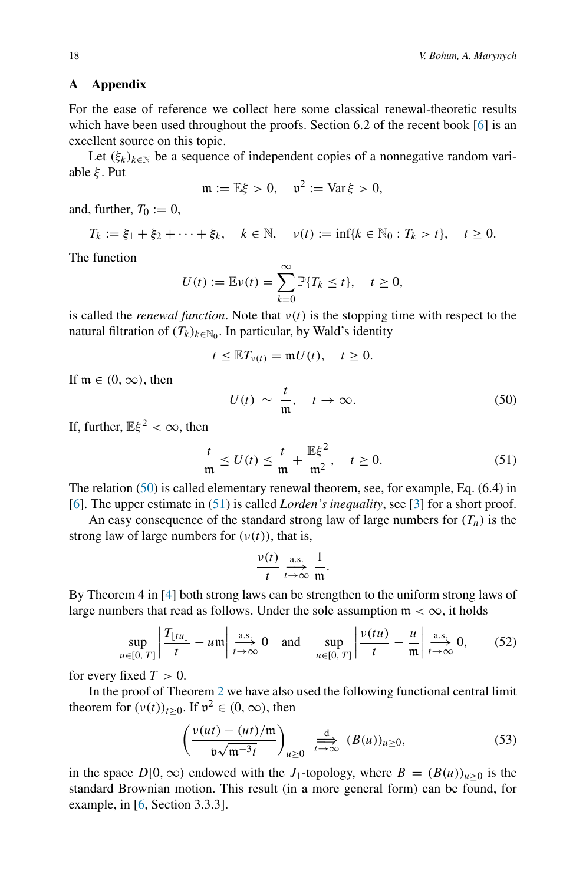## **A Appendix**

For the ease of reference we collect here some classical renewal-theoretic results which have been used throughout the proofs. Section 6.2 of the recent book [\[6\]](#page-18-8) is an excellent source on this topic.

Let  $(\xi_k)_{k \in \mathbb{N}}$  be a sequence of independent copies of a nonnegative random variable *ξ* . Put

$$
\mathfrak{m} := \mathbb{E}\xi > 0, \quad \mathfrak{v}^2 := \text{Var}\,\xi > 0,
$$

and, further,  $T_0 := 0$ ,

$$
T_k := \xi_1 + \xi_2 + \cdots + \xi_k, \quad k \in \mathbb{N}, \quad \nu(t) := \inf\{k \in \mathbb{N}_0 : T_k > t\}, \quad t \ge 0.
$$

The function

$$
U(t) := \mathbb{E}\nu(t) = \sum_{k=0}^{\infty} \mathbb{P}\{T_k \le t\}, \quad t \ge 0,
$$

is called the *renewal function*. Note that  $v(t)$  is the stopping time with respect to the natural filtration of  $(T_k)_{k \in \mathbb{N}_0}$ . In particular, by Wald's identity

$$
t \leq \mathbb{E} T_{\nu(t)} = \mathfrak{m} U(t), \quad t \geq 0.
$$

If  $m \in (0, \infty)$ , then

<span id="page-17-3"></span>
$$
U(t) \sim \frac{t}{\mathfrak{m}}, \quad t \to \infty.
$$
 (50)

If, further,  $E\xi^2 < \infty$ , then

<span id="page-17-1"></span>
$$
\frac{t}{\mathfrak{m}} \le U(t) \le \frac{t}{\mathfrak{m}} + \frac{\mathbb{E}\xi^2}{\mathfrak{m}^2}, \quad t \ge 0.
$$
 (51)

The relation [\(50\)](#page-17-3) is called elementary renewal theorem, see, for example, Eq. (6.4) in [\[6](#page-18-8)]. The upper estimate in [\(51\)](#page-17-1) is called *Lorden's inequality*, see [\[3](#page-18-9)] for a short proof.

An easy consequence of the standard strong law of large numbers for  $(T_n)$  is the strong law of large numbers for  $(v(t))$ , that is,

$$
\frac{v(t)}{t} \xrightarrow[t \to \infty]{\text{a.s.}} \frac{1}{\mathfrak{m}}.
$$

By Theorem 4 in [\[4\]](#page-18-10) both strong laws can be strengthen to the uniform strong laws of large numbers that read as follows. Under the sole assumption  $m < \infty$ , it holds

<span id="page-17-0"></span>
$$
\sup_{u \in [0, T]} \left| \frac{T_{\lfloor tu \rfloor}}{t} - u \right| \xrightarrow[t \to \infty]{\text{a.s.}} 0 \quad \text{and} \quad \sup_{u \in [0, T]} \left| \frac{\nu(tu)}{t} - \frac{u}{m} \right| \xrightarrow[t \to \infty]{\text{a.s.}} 0, \quad (52)
$$

for every fixed  $T > 0$ .

In the proof of Theorem [2](#page-7-2) we have also used the following functional central limit theorem for  $(v(t))_{t>0}$ . If  $v^2 \in (0, \infty)$ , then

<span id="page-17-2"></span>
$$
\left(\frac{v(ut)-(ut)/\mathfrak{m}}{\mathfrak{v}\sqrt{\mathfrak{m}^{-3}t}}\right)_{u\geq 0} \xrightarrow[t\to\infty]{} \frac{\mathrm{d}}{\mathfrak{v}\to\infty} (B(u))_{u\geq 0},\tag{53}
$$

in the space  $D[0,\infty)$  endowed with the *J*<sub>1</sub>-topology, where  $B = (B(u))_{u>0}$  is the standard Brownian motion. This result (in a more general form) can be found, for example, in [\[6,](#page-18-8) Section 3.3.3].